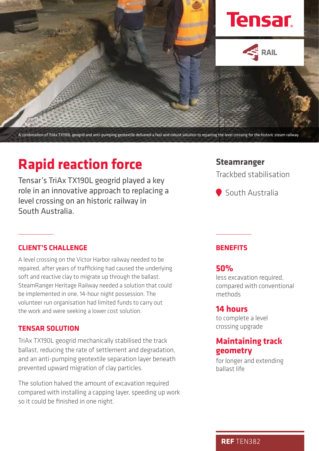

A combination of TriAx TX190L geogrid and anti-pumping geotextile delivered a fast and robust solution to repairing the level crossing for the historic steam railway.

# **Rapid reaction force**

Tensar's TriAx TX190L geogrid played a key role in an innovative approach to replacing a level crossing on an historic railway in South Australia.

#### **CLIENT'S CHALLENGE**

A level crossing on the Victor Harbor railway needed to be repaired, after years of trafficking had caused the underlying soft and reactive clay to migrate up through the ballast. SteamRanger Heritage Railway needed a solution that could be implemented in one, 14-hour night possession. The volunteer run organisation had limited funds to carry out the work and were seeking a lower cost solution.

#### **TENSAR SOLUTION**

TriAx TX190L geogrid mechanically stabilised the track ballast, reducing the rate of settlement and degradation, and an anti-pumping geotextile separation layer beneath prevented upward migration of clay particles.

The solution halved the amount of excavation required compared with installing a capping layer, speeding up work so it could be finished in one night.

## **Steamranger**

Trackbed stabilisation

South Australia

#### **BENEFITS**

#### **50%**

less excavation required, compared with conventional methods

## **14 hours**

to complete a level crossing upgrade

# **Maintaining track geometry**

for longer and extending ballast life